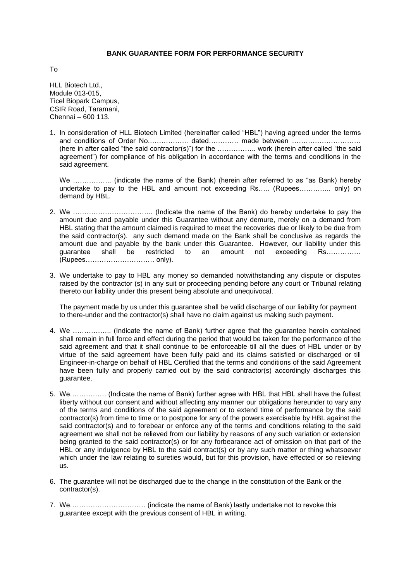## **BANK GUARANTEE FORM FOR PERFORMANCE SECURITY**

To

HLL Biotech Ltd., Module 013-015, Ticel Biopark Campus, CSIR Road, Taramani, Chennai – 600 113.

1. In consideration of HLL Biotech Limited (hereinafter called "HBL") having agreed under the terms and conditions of Order No.…………….. dated…………. made between ………………………… (here in after called "the said contractor(s)") for the …………….. work (herein after called "the said agreement") for compliance of his obligation in accordance with the terms and conditions in the said agreement.

We ................... (indicate the name of the Bank) (herein after referred to as "as Bank) hereby undertake to pay to the HBL and amount not exceeding Rs..... (Rupees.............. only) on demand by HBL.

- 2. We …………………………….. (Indicate the name of the Bank) do hereby undertake to pay the amount due and payable under this Guarantee without any demure, merely on a demand from HBL stating that the amount claimed is required to meet the recoveries due or likely to be due from the said contractor(s). any such demand made on the Bank shall be conclusive as regards the amount due and payable by the bank under this Guarantee. However, our liability under this guarantee shall be restricted to an amount not exceeding Rs…………… (Rupees………………………… only).
- 3. We undertake to pay to HBL any money so demanded notwithstanding any dispute or disputes raised by the contractor (s) in any suit or proceeding pending before any court or Tribunal relating thereto our liability under this present being absolute and unequivocal.

The payment made by us under this guarantee shall be valid discharge of our liability for payment to there-under and the contractor(s) shall have no claim against us making such payment.

- 4. We …………….. (Indicate the name of Bank) further agree that the guarantee herein contained shall remain in full force and effect during the period that would be taken for the performance of the said agreement and that it shall continue to be enforceable till all the dues of HBL under or by virtue of the said agreement have been fully paid and its claims satisfied or discharged or till Engineer-in-charge on behalf of HBL Certified that the terms and conditions of the said Agreement have been fully and properly carried out by the said contractor(s) accordingly discharges this guarantee.
- 5. We……………. (Indicate the name of Bank) further agree with HBL that HBL shall have the fullest liberty without our consent and without affecting any manner our obligations hereunder to vary any of the terms and conditions of the said agreement or to extend time of performance by the said contractor(s) from time to time or to postpone for any of the powers exercisable by HBL against the said contractor(s) and to forebear or enforce any of the terms and conditions relating to the said agreement we shall not be relieved from our liability by reasons of any such variation or extension being granted to the said contractor(s) or for any forbearance act of omission on that part of the HBL or any indulgence by HBL to the said contract(s) or by any such matter or thing whatsoever which under the law relating to sureties would, but for this provision, have effected or so relieving us.
- 6. The guarantee will not be discharged due to the change in the constitution of the Bank or the contractor(s).
- 7. We…………………………… (indicate the name of Bank) lastly undertake not to revoke this guarantee except with the previous consent of HBL in writing.